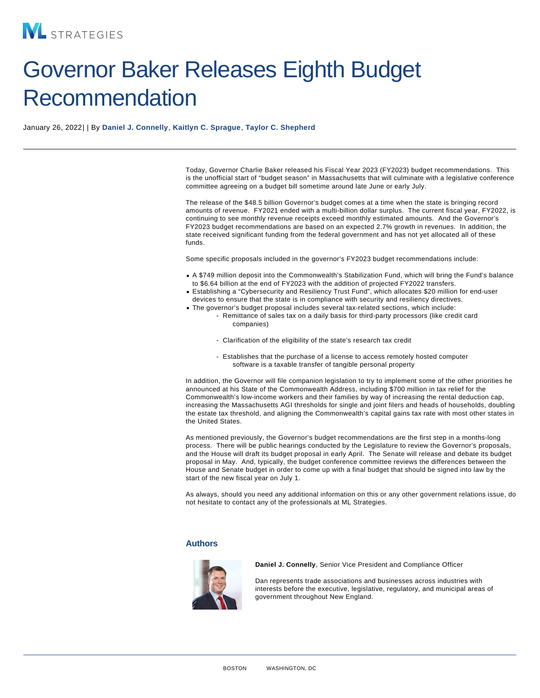## Governor Baker Releases Eighth Budget Recommendation

January 26, 2022| | By [Daniel J. Connelly](/our-people/daniel-j-connelly) , [Kaitlyn C. Sprague](/our-people/kaitlyn-c-sprague) , [Taylor C. Shepherd](/our-people/taylor-c-shepherd)

Today, Governor Charlie Baker released his Fiscal Year 2023 (FY2023) budget recommendations. This is the unofficial start of "budget season" in Massachusetts that will culminate with a legislative conference committee agreeing on a budget bill sometime around late June or early July.

The release of the \$48.5 billion Governor's budget comes at a time when the state is bringing record amounts of revenue. FY2021 ended with a multi-billion dollar surplus. The current fiscal year, FY2022, is continuing to see monthly revenue receipts exceed monthly estimated amounts. And the Governor's FY2023 budget recommendations are based on an expected 2.7% growth in revenues. In addition, the state received significant funding from the federal government and has not yet allocated all of these funds.

Some specific proposals included in the governor's FY2023 budget recommendations include:

- A \$749 million deposit into the Commonwealth's Stabilization Fund, which will bring the Fund's balance to \$6.64 billion at the end of FY2023 with the addition of projected FY2022 transfers.
- Establishing a "Cybersecurity and Resiliency Trust Fund", which allocates \$20 million for end-user devices to ensure that the state is in compliance with security and resiliency directives.
- The governor's budget proposal includes several tax-related sections, which include: - Remittance of sales tax on a daily basis for third-party processors (like credit card
	- companies)
	- Clarification of the eligibility of the state's research tax credit
	- Establishes that the purchase of a license to access remotely hosted computer software is a taxable transfer of tangible personal property

In addition, the Governor will file companion legislation to try to implement some of the other priorities he announced at his State of the Commonwealth Address, including \$700 million in tax relief for the Commonwealth's low-income workers and their families by way of increasing the rental deduction cap, increasing the Massachusetts AGI thresholds for single and joint filers and heads of households, doubling the estate tax threshold, and aligning the Commonwealth's capital gains tax rate with most other states in the United States.

As mentioned previously, the Governor's budget recommendations are the first step in a months-long process. There will be public hearings conducted by the Legislature to review the Governor's proposals, and the House will draft its budget proposal in early April. The Senate will release and debate its budget proposal in May. And, typically, the budget conference committee reviews the differences between the House and Senate budget in order to come up with a final budget that should be signed into law by the start of the new fiscal year on July 1.

As always, should you need any additional information on this or any other government relations issue, do not hesitate to contact any of the professionals at ML Strategies.

## Authors

Daniel J. Connelly , Senior Vice President and Compliance Officer

Dan represents trade associations and businesses across industries with interests before the executive, legislative, regulatory, and municipal areas of government throughout New England.